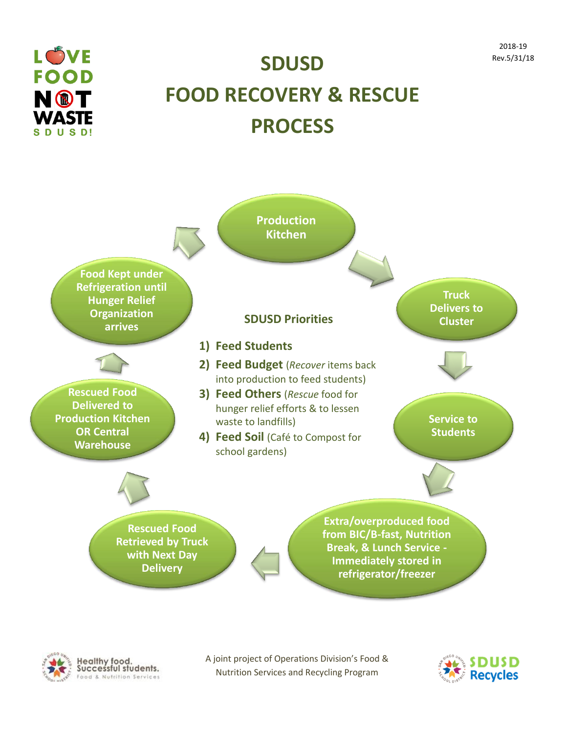



## **SDUSD FOOD RECOVERY & RESCUE PROCESS**





A joint project of Operations Division's Food & Nutrition Services and Recycling Program